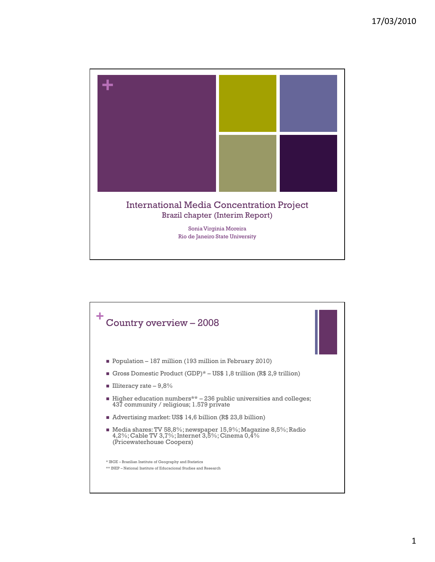

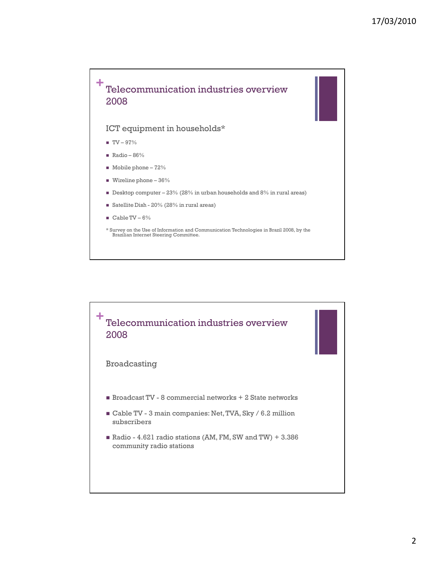

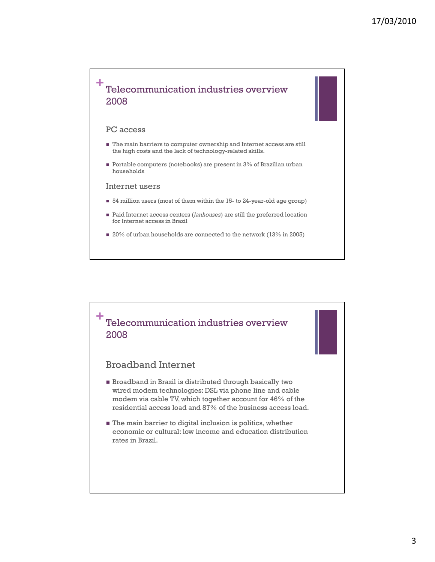

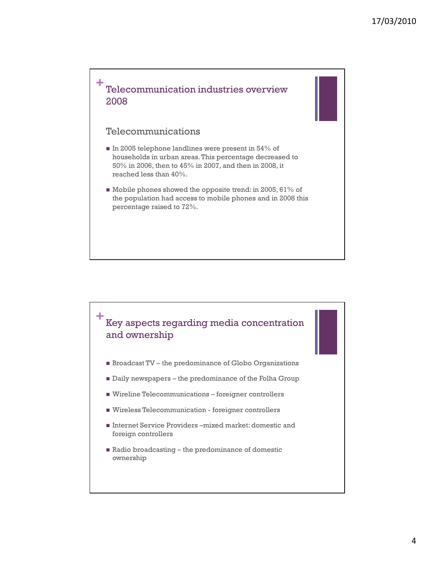

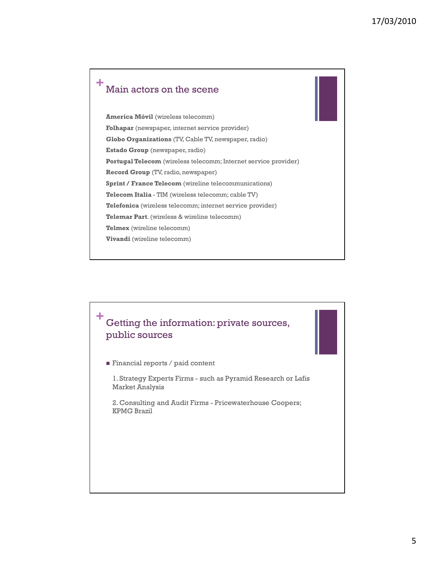